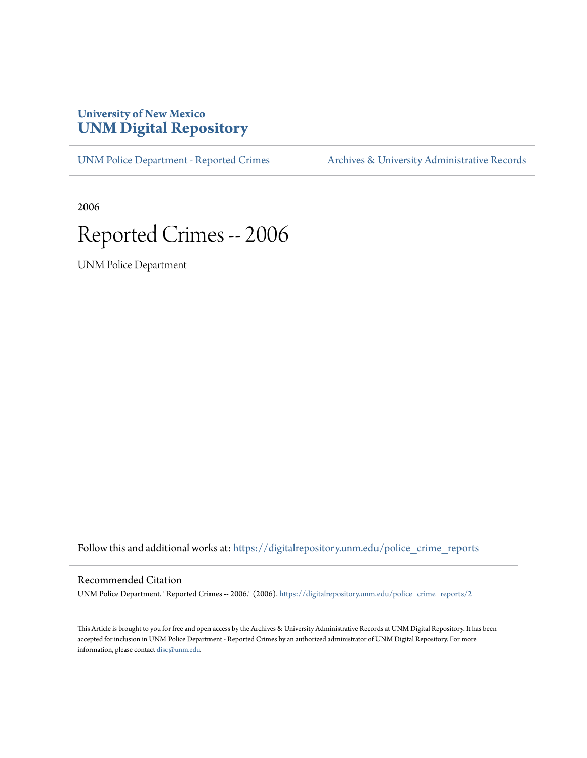## **University of New Mexico [UNM Digital Repository](https://digitalrepository.unm.edu?utm_source=digitalrepository.unm.edu%2Fpolice_crime_reports%2F2&utm_medium=PDF&utm_campaign=PDFCoverPages)**

[UNM Police Department - Reported Crimes](https://digitalrepository.unm.edu/police_crime_reports?utm_source=digitalrepository.unm.edu%2Fpolice_crime_reports%2F2&utm_medium=PDF&utm_campaign=PDFCoverPages) [Archives & University Administrative Records](https://digitalrepository.unm.edu/archives?utm_source=digitalrepository.unm.edu%2Fpolice_crime_reports%2F2&utm_medium=PDF&utm_campaign=PDFCoverPages)

2006

## Reported Crimes -- 2006

UNM Police Department

Follow this and additional works at: [https://digitalrepository.unm.edu/police\\_crime\\_reports](https://digitalrepository.unm.edu/police_crime_reports?utm_source=digitalrepository.unm.edu%2Fpolice_crime_reports%2F2&utm_medium=PDF&utm_campaign=PDFCoverPages)

## Recommended Citation

UNM Police Department. "Reported Crimes -- 2006." (2006). [https://digitalrepository.unm.edu/police\\_crime\\_reports/2](https://digitalrepository.unm.edu/police_crime_reports/2?utm_source=digitalrepository.unm.edu%2Fpolice_crime_reports%2F2&utm_medium=PDF&utm_campaign=PDFCoverPages)

This Article is brought to you for free and open access by the Archives & University Administrative Records at UNM Digital Repository. It has been accepted for inclusion in UNM Police Department - Reported Crimes by an authorized administrator of UNM Digital Repository. For more information, please contact [disc@unm.edu.](mailto:disc@unm.edu)